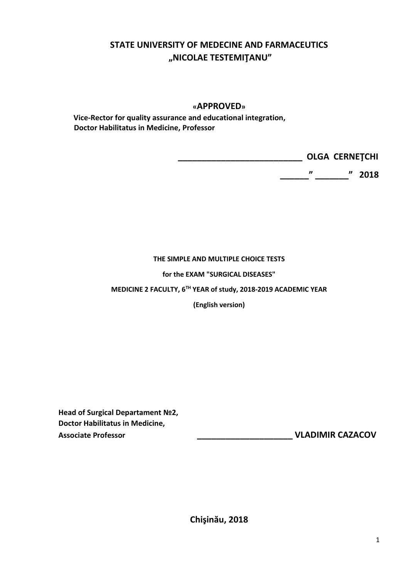## **STATE UNIVERSITY OF MEDECINE AND FARMACEUTICS "NICOLAE TESTEMIŢANU"**

## **«APPROVED»**

 **Vice-Rector for quality assurance and educational integration, Doctor Habilitatus in Medicine, Professor**

> **\_\_\_\_\_\_\_\_\_\_\_\_\_\_\_\_\_\_\_\_\_\_\_\_\_\_ OLGA CERNEŢCHI \_\_\_\_\_\_" \_\_\_\_\_\_\_" 2018**

## **THE SIMPLE AND MULTIPLE CHOICE TESTS**

**for the EXAM "SURGICAL DISEASES"** 

**MEDICINE 2 FACULTY, 6TH YEAR of study, 2018-2019 ACADEMIC YEAR** 

**(English version)**

**Head of Surgical Departament №2, Doctor Habilitatus in Medicine, Associate Professor \_\_\_\_\_\_\_\_\_\_\_\_\_\_\_\_\_\_\_\_ VLADIMIR CAZACOV**

**Chişinău, 2018**